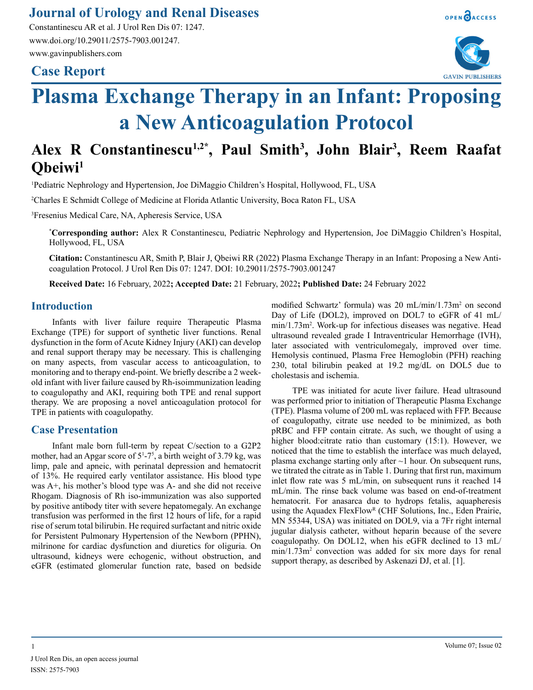### **Journal of Urology and Renal Diseases**

Constantinescu AR et al. J Urol Ren Dis 07: 1247. www.doi.org/10.29011/2575-7903.001247. www.gavinpublishers.com

## **Case Report**





# **Plasma Exchange Therapy in an Infant: Proposing a New Anticoagulation Protocol**

## Alex R Constantinescu<sup>1,2\*</sup>, Paul Smith<sup>3</sup>, John Blair<sup>3</sup>, Reem Raafat **Qbeiwi1**

1 Pediatric Nephrology and Hypertension, Joe DiMaggio Children's Hospital, Hollywood, FL, USA

2 Charles E Schmidt College of Medicine at Florida Atlantic University, Boca Raton FL, USA

3 Fresenius Medical Care, NA, Apheresis Service, USA

**\* Corresponding author:** Alex R Constantinescu, Pediatric Nephrology and Hypertension, Joe DiMaggio Children's Hospital, Hollywood, FL, USA

**Citation:** Constantinescu AR, Smith P, Blair J, Qbeiwi RR (2022) Plasma Exchange Therapy in an Infant: Proposing a New Anticoagulation Protocol. J Urol Ren Dis 07: 1247. DOI: 10.29011/2575-7903.001247

**Received Date:** 16 February, 2022**; Accepted Date:** 21 February, 2022**; Published Date:** 24 February 2022

#### **Introduction**

Infants with liver failure require Therapeutic Plasma Exchange (TPE) for support of synthetic liver functions. Renal dysfunction in the form of Acute Kidney Injury (AKI) can develop and renal support therapy may be necessary. This is challenging on many aspects, from vascular access to anticoagulation, to monitoring and to therapy end-point. We briefly describe a 2 weekold infant with liver failure caused by Rh-isoimmunization leading to coagulopathy and AKI, requiring both TPE and renal support therapy. We are proposing a novel anticoagulation protocol for TPE in patients with coagulopathy.

#### **Case Presentation**

Infant male born full-term by repeat C/section to a G2P2 mother, had an Apgar score of  $5<sup>1</sup> - 7<sup>5</sup>$ , a birth weight of 3.79 kg, was limp, pale and apneic, with perinatal depression and hematocrit of 13%. He required early ventilator assistance. His blood type was A+, his mother's blood type was A- and she did not receive Rhogam. Diagnosis of Rh iso-immunization was also supported by positive antibody titer with severe hepatomegaly. An exchange transfusion was performed in the first 12 hours of life, for a rapid rise of serum total bilirubin. He required surfactant and nitric oxide for Persistent Pulmonary Hypertension of the Newborn (PPHN), milrinone for cardiac dysfunction and diuretics for oliguria. On ultrasound, kidneys were echogenic, without obstruction, and eGFR (estimated glomerular function rate, based on bedside

modified Schwartz' formula) was 20 mL/min/1.73m<sup>2</sup> on second Day of Life (DOL2), improved on DOL7 to eGFR of 41 mL/ min/1.73m2 . Work-up for infectious diseases was negative. Head ultrasound revealed grade I Intraventricular Hemorrhage (IVH), later associated with ventriculomegaly, improved over time. Hemolysis continued, Plasma Free Hemoglobin (PFH) reaching 230, total bilirubin peaked at 19.2 mg/dL on DOL5 due to cholestasis and ischemia.

TPE was initiated for acute liver failure. Head ultrasound was performed prior to initiation of Therapeutic Plasma Exchange (TPE). Plasma volume of 200 mL was replaced with FFP. Because of coagulopathy, citrate use needed to be minimized, as both pRBC and FFP contain citrate. As such, we thought of using a higher blood:citrate ratio than customary (15:1). However, we noticed that the time to establish the interface was much delayed, plasma exchange starting only after ~1 hour. On subsequent runs, we titrated the citrate as in Table 1. During that first run, maximum inlet flow rate was 5 mL/min, on subsequent runs it reached 14 mL/min. The rinse back volume was based on end-of-treatment hematocrit. For anasarca due to hydrops fetalis, aquapheresis using the Aquadex FlexFlow<sup>R</sup> (CHF Solutions, Inc., Eden Prairie, MN 55344, USA) was initiated on DOL9, via a 7Fr right internal jugular dialysis catheter, without heparin because of the severe coagulopathy. On DOL12, when his eGFR declined to 13 mL/ min/1.73m2 convection was added for six more days for renal support therapy, as described by Askenazi DJ, et al. [1].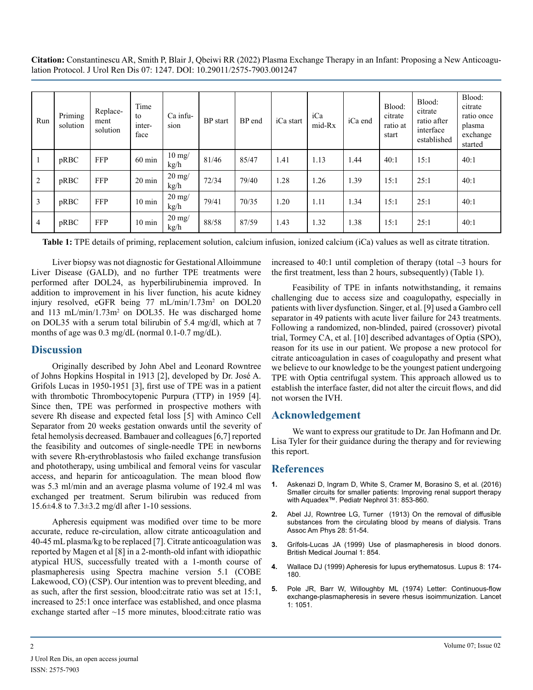**Citation:** Constantinescu AR, Smith P, Blair J, Qbeiwi RR (2022) Plasma Exchange Therapy in an Infant: Proposing a New Anticoagulation Protocol. J Urol Ren Dis 07: 1247. DOI: 10.29011/2575-7903.001247

| Run            | Priming<br>solution | Replace-<br>ment<br>solution | Time<br>to<br>inter-<br>face | Ca infu-<br>sion        | <b>BP</b> start | BP end | iCa start | iCa<br>mid-Rx | iCa end | Blood:<br>citrate<br>ratio at<br>start | Blood:<br>citrate<br>ratio after<br>interface<br>established | Blood:<br>citrate<br>ratio once<br>plasma<br>exchange<br>started |
|----------------|---------------------|------------------------------|------------------------------|-------------------------|-----------------|--------|-----------|---------------|---------|----------------------------------------|--------------------------------------------------------------|------------------------------------------------------------------|
| 1              | pRBC                | <b>FFP</b>                   | $60 \text{ min}$             | $10 \text{ mg}$<br>kg/h | 81/46           | 85/47  | 1.41      | 1.13          | 1.44    | 40:1                                   | 15:1                                                         | 40:1                                                             |
| 2              | pRBC                | <b>FFP</b>                   | $20 \text{ min}$             | $20 \text{ mg}$<br>kg/h | 72/34           | 79/40  | 1.28      | 1.26          | 1.39    | 15:1                                   | 25:1                                                         | 40:1                                                             |
| 3              | pRBC                | <b>FFP</b>                   | $10 \text{ min}$             | $20 \text{ mg}$<br>kg/h | 79/41           | 70/35  | 1.20      | 1.11          | 1.34    | 15:1                                   | 25:1                                                         | 40:1                                                             |
| $\overline{4}$ | pRBC                | <b>FFP</b>                   | $10 \text{ min}$             | $20 \text{ mg}$<br>kg/h | 88/58           | 87/59  | 1.43      | 1.32          | 1.38    | 15:1                                   | 25:1                                                         | 40:1                                                             |

**Table 1:** TPE details of priming, replacement solution, calcium infusion, ionized calcium (iCa) values as well as citrate titration.

Liver biopsy was not diagnostic for Gestational Alloimmune Liver Disease (GALD), and no further TPE treatments were performed after DOL24, as hyperbilirubinemia improved. In addition to improvement in his liver function, his acute kidney injury resolved, eGFR being 77 mL/min/1.73m<sup>2</sup> on DOL20 and 113 mL/min/1.73m<sup>2</sup> on DOL35. He was discharged home on DOL35 with a serum total bilirubin of 5.4 mg/dl, which at 7 months of age was 0.3 mg/dL (normal 0.1-0.7 mg/dL).

#### **Discussion**

Originally described by John Abel and [Leonard Rowntree](https://en.wikipedia.org/wiki/Leonard_Rowntree) of [Johns Hopkins Hospital](https://en.wikipedia.org/wiki/Johns_Hopkins_Hospital) in 1913 [2], developed by Dr. José A. Grifols Lucas in 1950-1951 [3], first use of TPE was in a patient with [thrombotic Thrombocytopenic Purpura \(TTP\)](https://en.wikipedia.org/wiki/Thrombotic_thrombocytopenic_purpura) in 1959 [4]. Since then, TPE was performed in prospective mothers with severe Rh disease and expected fetal loss [5] with Aminco Cell Separator from 20 weeks gestation onwards until the severity of fetal hemolysis decreased. Bambauer and colleagues [6,7] reported the feasibility and outcomes of single-needle TPE in newborns with severe Rh-erythroblastosis who failed exchange transfusion and phototherapy, using umbilical and femoral veins for vascular access, and heparin for anticoagulation. The mean blood flow was 5.3 ml/min and an average plasma volume of 192.4 ml was exchanged per treatment. Serum bilirubin was reduced from 15.6 $\pm$ 4.8 to 7.3 $\pm$ 3.2 mg/dl after 1-10 sessions.

Apheresis equipment was modified over time to be more accurate, reduce re-circulation, allow citrate anticoagulation and 40-45 mL plasma/kg to be replaced [7]. Citrate anticoagulation was reported by Magen et al [8] in a 2-month-old infant with idiopathic atypical HUS, successfully treated with a 1-month course of plasmapheresis using Spectra machine version 5.1 (COBE Lakewood, CO) (CSP). Our intention was to prevent bleeding, and as such, after the first session, blood:citrate ratio was set at 15:1, increased to 25:1 once interface was established, and once plasma exchange started after ~15 more minutes, blood:citrate ratio was

increased to 40:1 until completion of therapy (total  $\sim$ 3 hours for the first treatment, less than 2 hours, subsequently) (Table 1).

Feasibility of TPE in infants notwithstanding, it remains challenging due to access size and coagulopathy, especially in patients with liver dysfunction. Singer, et al. [9] used a Gambro cell separator in 49 patients with acute liver failure for 243 treatments. Following a randomized, non-blinded, paired (crossover) pivotal trial, Tormey CA, et al. [10] described advantages of Optia (SPO), reason for its use in our patient. We propose a new protocol for citrate anticoagulation in cases of coagulopathy and present what we believe to our knowledge to be the youngest patient undergoing TPE with Optia centrifugal system. This approach allowed us to establish the interface faster, did not alter the circuit flows, and did not worsen the IVH.

#### **Acknowledgement**

We want to express our gratitude to Dr. Jan Hofmann and Dr. Lisa Tyler for their guidance during the therapy and for reviewing this report.

#### **References**

- **1.** [Askenazi D, Ingram D, White S, Cramer M, Borasino S, et al. \(2016\)](https://pubmed.ncbi.nlm.nih.gov/26572894/)  [Smaller circuits for smaller patients: Improving renal support therapy](https://pubmed.ncbi.nlm.nih.gov/26572894/)  [with Aquadex™. Pediatr Nephrol 31: 853-860.](https://pubmed.ncbi.nlm.nih.gov/26572894/)
- **2.** Abel JJ, Rowntree LG, Turner (1913) On the removal of diffusible substances from the circulating blood by means of dialysis. Trans Assoc Am Phys 28: 51-54.
- **3.** [Grífols-Lucas JA \(1999\) Use of plasmapheresis in blood donors.](https://www.ncbi.nlm.nih.gov/pmc/articles/PMC2023259/https:/www.ncbi.nlm.nih.gov/pmc/articles/PMC2023259)  [British Medical Journal 1: 854.](https://www.ncbi.nlm.nih.gov/pmc/articles/PMC2023259/https:/www.ncbi.nlm.nih.gov/pmc/articles/PMC2023259)
- **4.** [Wallace DJ \(1999\) Apheresis for lupus erythematosus. Lupus 8: 174-](https://pubmed.ncbi.nlm.nih.gov/10342709/#:~:text=Once thought to be a,of apheresis pertaining to SLE.) [180.](https://pubmed.ncbi.nlm.nih.gov/10342709/#:~:text=Once thought to be a,of apheresis pertaining to SLE.)
- **5.** [Pole JR, Barr W, Willoughby ML \(1974\) Letter: Continuous-flow](https://www.ncbi.nlm.nih.gov/pmc/articles/PMC1606821/)  [exchange-plasmapheresis in severe rhesus isoimmunization. Lancet](https://www.ncbi.nlm.nih.gov/pmc/articles/PMC1606821/)  [1: 1051.](https://www.ncbi.nlm.nih.gov/pmc/articles/PMC1606821/)